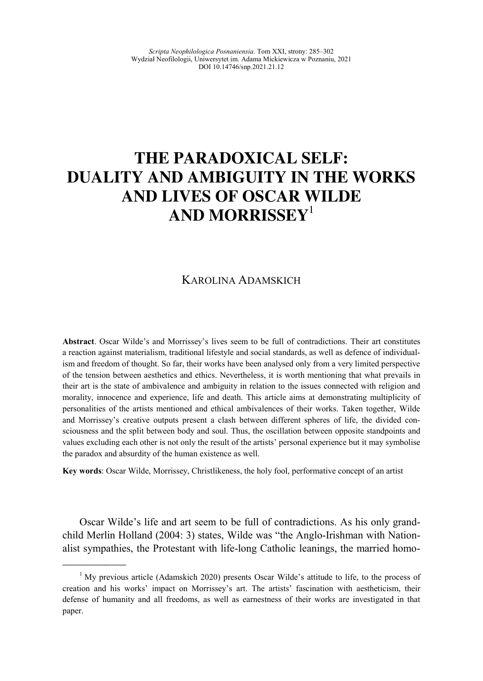# **THE PARADOXICAL SELF: DUALITY AND AMBIGUITY IN THE WORKS AND LIVES OF OSCAR WILDE AND MORRISSEY**<sup>1</sup>

### KAROLINA ADAMSKICH

**Abstract**. Oscar Wilde's and Morrissey's lives seem to be full of contradictions. Their art constitutes a reaction against materialism, traditional lifestyle and social standards, as well as defence of individualism and freedom of thought. So far, their works have been analysed only from a very limited perspective of the tension between aesthetics and ethics. Nevertheless, it is worth mentioning that what prevails in their art is the state of ambivalence and ambiguity in relation to the issues connected with religion and morality, innocence and experience, life and death. This article aims at demonstrating multiplicity of personalities of the artists mentioned and ethical ambivalences of their works. Taken together, Wilde and Morrissey's creative outputs present a clash between different spheres of life, the divided consciousness and the split between body and soul. Thus, the oscillation between opposite standpoints and values excluding each other is not only the result of the artists' personal experience but it may symbolise the paradox and absurdity of the human existence as well.

**Key words**: Oscar Wilde, Morrissey, Christlikeness, the holy fool, performative concept of an artist

Oscar Wilde's life and art seem to be full of contradictions. As his only grandchild Merlin Holland (2004: 3) states, Wilde was "the Anglo-Irishman with Nationalist sympathies, the Protestant with life-long Catholic leanings, the married homo-

 $\frac{1}{2}$  ,  $\frac{1}{2}$  ,  $\frac{1}{2}$  ,  $\frac{1}{2}$  ,  $\frac{1}{2}$  ,  $\frac{1}{2}$  ,  $\frac{1}{2}$ 

<sup>&</sup>lt;sup>1</sup> My previous article (Adamskich 2020) presents Oscar Wilde's attitude to life, to the process of creation and his works' impact on Morrissey's art. The artists' fascination with aestheticism, their defense of humanity and all freedoms, as well as earnestness of their works are investigated in that paper.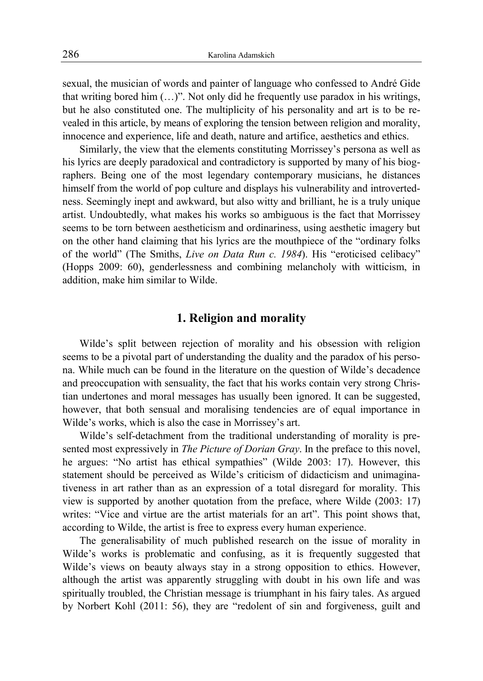sexual, the musician of words and painter of language who confessed to André Gide that writing bored him (…)". Not only did he frequently use paradox in his writings, but he also constituted one. The multiplicity of his personality and art is to be revealed in this article, by means of exploring the tension between religion and morality, innocence and experience, life and death, nature and artifice, aesthetics and ethics.

Similarly, the view that the elements constituting Morrissey's persona as well as his lyrics are deeply paradoxical and contradictory is supported by many of his biographers. Being one of the most legendary contemporary musicians, he distances himself from the world of pop culture and displays his vulnerability and introvertedness. Seemingly inept and awkward, but also witty and brilliant, he is a truly unique artist. Undoubtedly, what makes his works so ambiguous is the fact that Morrissey seems to be torn between aestheticism and ordinariness, using aesthetic imagery but on the other hand claiming that his lyrics are the mouthpiece of the "ordinary folks of the world" (The Smiths, *Live on Data Run c. 1984*). His "eroticised celibacy" (Hopps 2009: 60), genderlessness and combining melancholy with witticism, in addition, make him similar to Wilde.

## **1. Religion and morality**

Wilde's split between rejection of morality and his obsession with religion seems to be a pivotal part of understanding the duality and the paradox of his persona. While much can be found in the literature on the question of Wilde's decadence and preoccupation with sensuality, the fact that his works contain very strong Christian undertones and moral messages has usually been ignored. It can be suggested, however, that both sensual and moralising tendencies are of equal importance in Wilde's works, which is also the case in Morrissey's art.

Wilde's self-detachment from the traditional understanding of morality is presented most expressively in *The Picture of Dorian Gray*. In the preface to this novel, he argues: "No artist has ethical sympathies" (Wilde 2003: 17). However, this statement should be perceived as Wilde's criticism of didacticism and unimaginativeness in art rather than as an expression of a total disregard for morality. This view is supported by another quotation from the preface, where Wilde (2003: 17) writes: "Vice and virtue are the artist materials for an art". This point shows that, according to Wilde, the artist is free to express every human experience.

The generalisability of much published research on the issue of morality in Wilde's works is problematic and confusing, as it is frequently suggested that Wilde's views on beauty always stay in a strong opposition to ethics. However, although the artist was apparently struggling with doubt in his own life and was spiritually troubled, the Christian message is triumphant in his fairy tales. As argued by Norbert Kohl (2011: 56), they are "redolent of sin and forgiveness, guilt and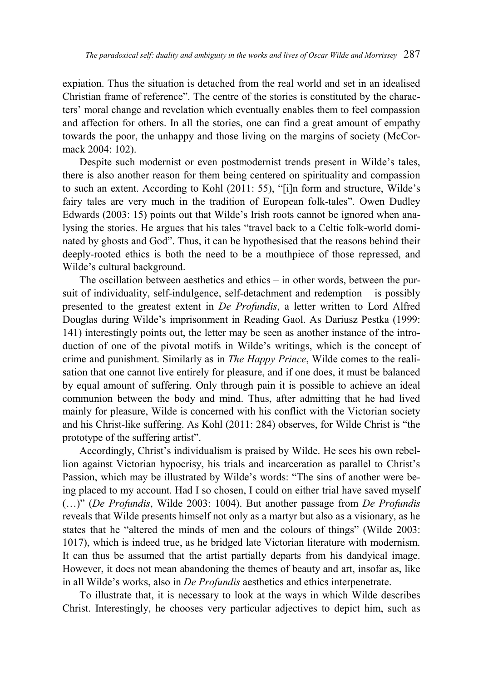expiation. Thus the situation is detached from the real world and set in an idealised Christian frame of reference". The centre of the stories is constituted by the characters' moral change and revelation which eventually enables them to feel compassion and affection for others. In all the stories, one can find a great amount of empathy towards the poor, the unhappy and those living on the margins of society (McCormack 2004: 102).

Despite such modernist or even postmodernist trends present in Wilde's tales, there is also another reason for them being centered on spirituality and compassion to such an extent. According to Kohl (2011: 55), "[i]n form and structure, Wilde's fairy tales are very much in the tradition of European folk-tales". Owen Dudley Edwards (2003: 15) points out that Wilde's Irish roots cannot be ignored when analysing the stories. He argues that his tales "travel back to a Celtic folk-world dominated by ghosts and God". Thus, it can be hypothesised that the reasons behind their deeply-rooted ethics is both the need to be a mouthpiece of those repressed, and Wilde's cultural background.

The oscillation between aesthetics and ethics – in other words, between the pursuit of individuality, self-indulgence, self-detachment and redemption – is possibly presented to the greatest extent in *De Profundis*, a letter written to Lord Alfred Douglas during Wilde's imprisonment in Reading Gaol. As Dariusz Pestka (1999: 141) interestingly points out, the letter may be seen as another instance of the introduction of one of the pivotal motifs in Wilde's writings, which is the concept of crime and punishment. Similarly as in *The Happy Prince*, Wilde comes to the realisation that one cannot live entirely for pleasure, and if one does, it must be balanced by equal amount of suffering. Only through pain it is possible to achieve an ideal communion between the body and mind. Thus, after admitting that he had lived mainly for pleasure, Wilde is concerned with his conflict with the Victorian society and his Christ-like suffering. As Kohl (2011: 284) observes, for Wilde Christ is "the prototype of the suffering artist".

Accordingly, Christ's individualism is praised by Wilde. He sees his own rebellion against Victorian hypocrisy, his trials and incarceration as parallel to Christ's Passion, which may be illustrated by Wilde's words: "The sins of another were being placed to my account. Had I so chosen, I could on either trial have saved myself (…)" (*De Profundis*, Wilde 2003: 1004). But another passage from *De Profundis* reveals that Wilde presents himself not only as a martyr but also as a visionary, as he states that he "altered the minds of men and the colours of things" (Wilde 2003: 1017), which is indeed true, as he bridged late Victorian literature with modernism. It can thus be assumed that the artist partially departs from his dandyical image. However, it does not mean abandoning the themes of beauty and art, insofar as, like in all Wilde's works, also in *De Profundis* aesthetics and ethics interpenetrate.

To illustrate that, it is necessary to look at the ways in which Wilde describes Christ. Interestingly, he chooses very particular adjectives to depict him, such as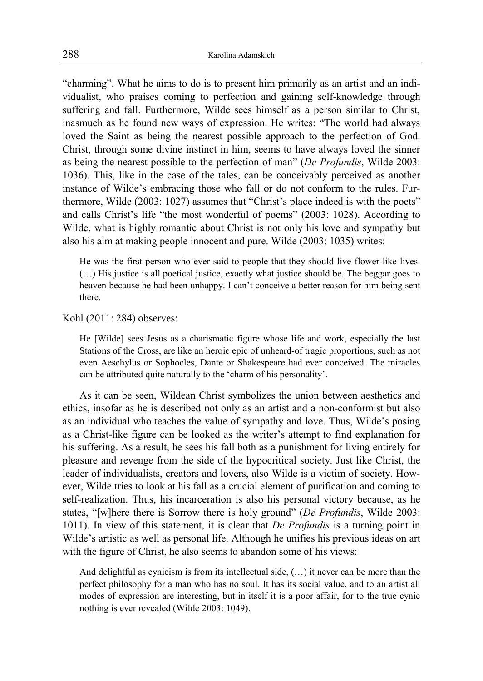"charming". What he aims to do is to present him primarily as an artist and an individualist, who praises coming to perfection and gaining self-knowledge through suffering and fall. Furthermore, Wilde sees himself as a person similar to Christ, inasmuch as he found new ways of expression. He writes: "The world had always loved the Saint as being the nearest possible approach to the perfection of God. Christ, through some divine instinct in him, seems to have always loved the sinner as being the nearest possible to the perfection of man" (*De Profundis*, Wilde 2003: 1036). This, like in the case of the tales, can be conceivably perceived as another instance of Wilde's embracing those who fall or do not conform to the rules. Furthermore, Wilde (2003: 1027) assumes that "Christ's place indeed is with the poets" and calls Christ's life "the most wonderful of poems" (2003: 1028). According to Wilde, what is highly romantic about Christ is not only his love and sympathy but also his aim at making people innocent and pure. Wilde (2003: 1035) writes:

He was the first person who ever said to people that they should live flower-like lives. (…) His justice is all poetical justice, exactly what justice should be. The beggar goes to heaven because he had been unhappy. I can't conceive a better reason for him being sent there.

Kohl (2011: 284) observes:

He [Wilde] sees Jesus as a charismatic figure whose life and work, especially the last Stations of the Cross, are like an heroic epic of unheard-of tragic proportions, such as not even Aeschylus or Sophocles, Dante or Shakespeare had ever conceived. The miracles can be attributed quite naturally to the 'charm of his personality'.

As it can be seen, Wildean Christ symbolizes the union between aesthetics and ethics, insofar as he is described not only as an artist and a non-conformist but also as an individual who teaches the value of sympathy and love. Thus, Wilde's posing as a Christ-like figure can be looked as the writer's attempt to find explanation for his suffering. As a result, he sees his fall both as a punishment for living entirely for pleasure and revenge from the side of the hypocritical society. Just like Christ, the leader of individualists, creators and lovers, also Wilde is a victim of society. However, Wilde tries to look at his fall as a crucial element of purification and coming to self-realization. Thus, his incarceration is also his personal victory because, as he states, "[w]here there is Sorrow there is holy ground" (*De Profundis*, Wilde 2003: 1011). In view of this statement, it is clear that *De Profundis* is a turning point in Wilde's artistic as well as personal life. Although he unifies his previous ideas on art with the figure of Christ, he also seems to abandon some of his views:

And delightful as cynicism is from its intellectual side, (…) it never can be more than the perfect philosophy for a man who has no soul. It has its social value, and to an artist all modes of expression are interesting, but in itself it is a poor affair, for to the true cynic nothing is ever revealed (Wilde 2003: 1049).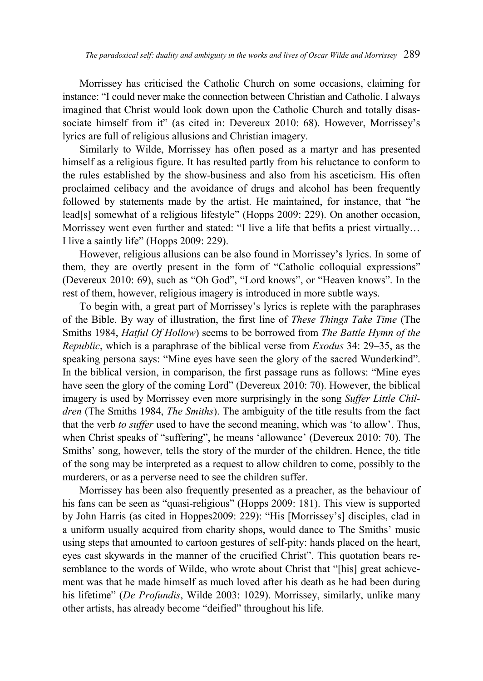Morrissey has criticised the Catholic Church on some occasions, claiming for instance: "I could never make the connection between Christian and Catholic. I always imagined that Christ would look down upon the Catholic Church and totally disassociate himself from it" (as cited in: Devereux 2010: 68). However, Morrissey's lyrics are full of religious allusions and Christian imagery.

Similarly to Wilde, Morrissey has often posed as a martyr and has presented himself as a religious figure. It has resulted partly from his reluctance to conform to the rules established by the show-business and also from his asceticism. His often proclaimed celibacy and the avoidance of drugs and alcohol has been frequently followed by statements made by the artist. He maintained, for instance, that "he lead[s] somewhat of a religious lifestyle" (Hopps 2009: 229). On another occasion, Morrissey went even further and stated: "I live a life that befits a priest virtually… I live a saintly life" (Hopps 2009: 229).

However, religious allusions can be also found in Morrissey's lyrics. In some of them, they are overtly present in the form of "Catholic colloquial expressions" (Devereux 2010: 69), such as "Oh God", "Lord knows", or "Heaven knows". In the rest of them, however, religious imagery is introduced in more subtle ways.

To begin with, a great part of Morrissey's lyrics is replete with the paraphrases of the Bible. By way of illustration, the first line of *These Things Take Time* (The Smiths 1984, *Hatful Of Hollow*) seems to be borrowed from *The Battle Hymn of the Republic*, which is a paraphrase of the biblical verse from *Exodus* 34: 29–35, as the speaking persona says: "Mine eyes have seen the glory of the sacred Wunderkind". In the biblical version, in comparison, the first passage runs as follows: "Mine eyes have seen the glory of the coming Lord" (Devereux 2010: 70). However, the biblical imagery is used by Morrissey even more surprisingly in the song *Suffer Little Children* (The Smiths 1984, *The Smiths*). The ambiguity of the title results from the fact that the verb *to suffer* used to have the second meaning, which was 'to allow'. Thus, when Christ speaks of "suffering", he means 'allowance' (Devereux 2010: 70). The Smiths' song, however, tells the story of the murder of the children. Hence, the title of the song may be interpreted as a request to allow children to come, possibly to the murderers, or as a perverse need to see the children suffer.

Morrissey has been also frequently presented as a preacher, as the behaviour of his fans can be seen as "quasi-religious" (Hopps 2009: 181). This view is supported by John Harris (as cited in Hoppes2009: 229): "His [Morrissey's] disciples, clad in a uniform usually acquired from charity shops, would dance to The Smiths' music using steps that amounted to cartoon gestures of self-pity: hands placed on the heart, eyes cast skywards in the manner of the crucified Christ". This quotation bears resemblance to the words of Wilde, who wrote about Christ that "[his] great achievement was that he made himself as much loved after his death as he had been during his lifetime" (*De Profundis*, Wilde 2003: 1029). Morrissey, similarly, unlike many other artists, has already become "deified" throughout his life.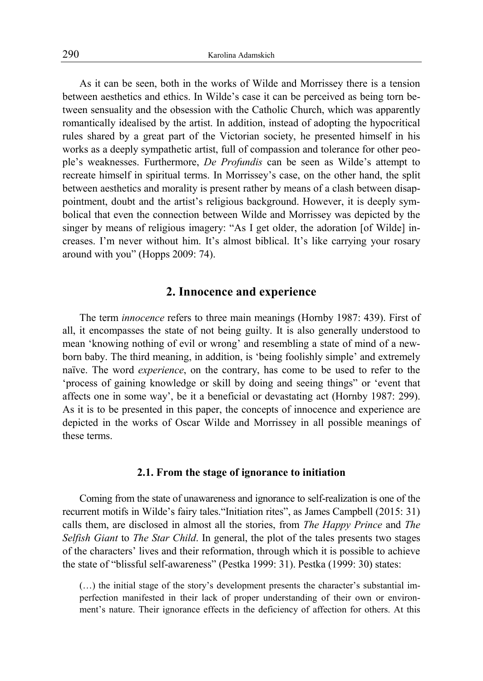As it can be seen, both in the works of Wilde and Morrissey there is a tension between aesthetics and ethics. In Wilde's case it can be perceived as being torn between sensuality and the obsession with the Catholic Church, which was apparently romantically idealised by the artist. In addition, instead of adopting the hypocritical rules shared by a great part of the Victorian society, he presented himself in his works as a deeply sympathetic artist, full of compassion and tolerance for other people's weaknesses. Furthermore, *De Profundis* can be seen as Wilde's attempt to recreate himself in spiritual terms. In Morrissey's case, on the other hand, the split between aesthetics and morality is present rather by means of a clash between disappointment, doubt and the artist's religious background. However, it is deeply symbolical that even the connection between Wilde and Morrissey was depicted by the singer by means of religious imagery: "As I get older, the adoration [of Wilde] increases. I'm never without him. It's almost biblical. It's like carrying your rosary around with you" (Hopps 2009: 74).

### **2. Innocence and experience**

The term *innocence* refers to three main meanings (Hornby 1987: 439). First of all, it encompasses the state of not being guilty. It is also generally understood to mean 'knowing nothing of evil or wrong' and resembling a state of mind of a newborn baby. The third meaning, in addition, is 'being foolishly simple' and extremely naïve. The word *experience*, on the contrary, has come to be used to refer to the 'process of gaining knowledge or skill by doing and seeing things" or 'event that affects one in some way', be it a beneficial or devastating act (Hornby 1987: 299). As it is to be presented in this paper, the concepts of innocence and experience are depicted in the works of Oscar Wilde and Morrissey in all possible meanings of these terms.

#### **2.1. From the stage of ignorance to initiation**

Coming from the state of unawareness and ignorance to self-realization is one of the recurrent motifs in Wilde's fairy tales."Initiation rites", as James Campbell (2015: 31) calls them, are disclosed in almost all the stories, from *The Happy Prince* and *The Selfish Giant* to *The Star Child*. In general, the plot of the tales presents two stages of the characters' lives and their reformation, through which it is possible to achieve the state of "blissful self-awareness" (Pestka 1999: 31). Pestka (1999: 30) states:

(…) the initial stage of the story's development presents the character's substantial imperfection manifested in their lack of proper understanding of their own or environment's nature. Their ignorance effects in the deficiency of affection for others. At this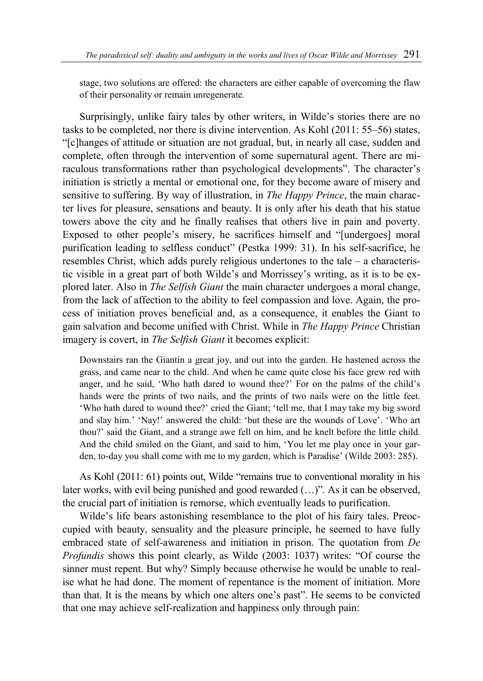stage, two solutions are offered: the characters are either capable of overcoming the flaw of their personality or remain unregenerate.

Surprisingly, unlike fairy tales by other writers, in Wilde's stories there are no tasks to be completed, nor there is divine intervention. As Kohl (2011: 55–56) states, "[c]hanges of attitude or situation are not gradual, but, in nearly all case, sudden and complete, often through the intervention of some supernatural agent. There are miraculous transformations rather than psychological developments". The character's initiation is strictly a mental or emotional one, for they become aware of misery and sensitive to suffering. By way of illustration, in *The Happy Prince*, the main character lives for pleasure, sensations and beauty. It is only after his death that his statue towers above the city and he finally realises that others live in pain and poverty. Exposed to other people's misery, he sacrifices himself and "[undergoes] moral purification leading to selfless conduct" (Pestka 1999: 31). In his self-sacrifice, he resembles Christ, which adds purely religious undertones to the tale – a characteristic visible in a great part of both Wilde's and Morrissey's writing, as it is to be explored later. Also in *The Selfish Giant* the main character undergoes a moral change, from the lack of affection to the ability to feel compassion and love. Again, the process of initiation proves beneficial and, as a consequence, it enables the Giant to gain salvation and become unified with Christ. While in *The Happy Prince* Christian imagery is covert, in *The Selfish Giant* it becomes explicit:

Downstairs ran the Giantin a great joy, and out into the garden. He hastened across the grass, and came near to the child. And when he came quite close his face grew red with anger, and he said, 'Who hath dared to wound thee?' For on the palms of the child's hands were the prints of two nails, and the prints of two nails were on the little feet. 'Who hath dared to wound thee?' cried the Giant; 'tell me, that I may take my big sword and slay him.' 'Nay!' answered the child: 'but these are the wounds of Love'. 'Who art thou?' said the Giant, and a strange awe fell on him, and he knelt before the little child. And the child smiled on the Giant, and said to him, 'You let me play once in your garden, to-day you shall come with me to my garden, which is Paradise' (Wilde 2003: 285).

As Kohl (2011: 61) points out, Wilde "remains true to conventional morality in his later works, with evil being punished and good rewarded (…)". As it can be observed, the crucial part of initiation is remorse, which eventually leads to purification.

Wilde's life bears astonishing resemblance to the plot of his fairy tales. Preoccupied with beauty, sensuality and the pleasure principle, he seemed to have fully embraced state of self-awareness and initiation in prison. The quotation from *De Profundis* shows this point clearly, as Wilde (2003: 1037) writes: "Of course the sinner must repent. But why? Simply because otherwise he would be unable to realise what he had done. The moment of repentance is the moment of initiation. More than that. It is the means by which one alters one's past". He seems to be convicted that one may achieve self-realization and happiness only through pain: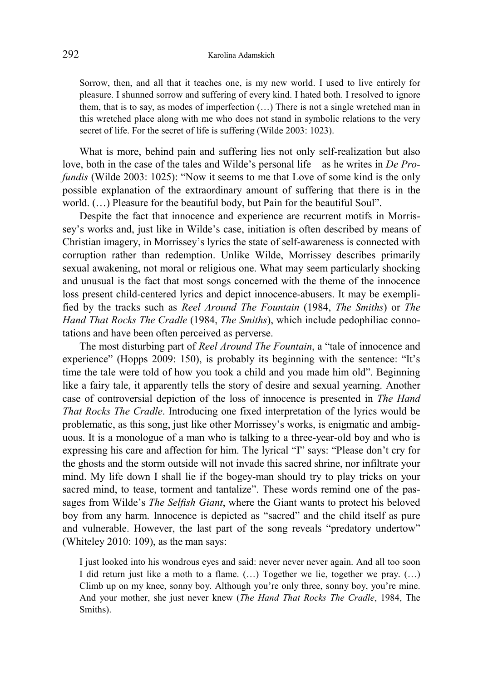Sorrow, then, and all that it teaches one, is my new world. I used to live entirely for pleasure. I shunned sorrow and suffering of every kind. I hated both. I resolved to ignore them, that is to say, as modes of imperfection (…) There is not a single wretched man in this wretched place along with me who does not stand in symbolic relations to the very secret of life. For the secret of life is suffering (Wilde 2003: 1023).

What is more, behind pain and suffering lies not only self-realization but also love, both in the case of the tales and Wilde's personal life – as he writes in *De Profundis* (Wilde 2003: 1025): "Now it seems to me that Love of some kind is the only possible explanation of the extraordinary amount of suffering that there is in the world. (…) Pleasure for the beautiful body, but Pain for the beautiful Soul".

Despite the fact that innocence and experience are recurrent motifs in Morrissey's works and, just like in Wilde's case, initiation is often described by means of Christian imagery, in Morrissey's lyrics the state of self-awareness is connected with corruption rather than redemption. Unlike Wilde, Morrissey describes primarily sexual awakening, not moral or religious one. What may seem particularly shocking and unusual is the fact that most songs concerned with the theme of the innocence loss present child-centered lyrics and depict innocence-abusers. It may be exemplified by the tracks such as *Reel Around The Fountain* (1984, *The Smiths*) or *The Hand That Rocks The Cradle* (1984, *The Smiths*), which include pedophiliac connotations and have been often perceived as perverse.

The most disturbing part of *Reel Around The Fountain*, a "tale of innocence and experience" (Hopps 2009: 150), is probably its beginning with the sentence: "It's time the tale were told of how you took a child and you made him old". Beginning like a fairy tale, it apparently tells the story of desire and sexual yearning. Another case of controversial depiction of the loss of innocence is presented in *The Hand That Rocks The Cradle*. Introducing one fixed interpretation of the lyrics would be problematic, as this song, just like other Morrissey's works, is enigmatic and ambiguous. It is a monologue of a man who is talking to a three-year-old boy and who is expressing his care and affection for him. The lyrical "I" says: "Please don't cry for the ghosts and the storm outside will not invade this sacred shrine, nor infiltrate your mind. My life down I shall lie if the bogey-man should try to play tricks on your sacred mind, to tease, torment and tantalize". These words remind one of the passages from Wilde's *The Selfish Giant*, where the Giant wants to protect his beloved boy from any harm. Innocence is depicted as "sacred" and the child itself as pure and vulnerable. However, the last part of the song reveals "predatory undertow" (Whiteley 2010: 109), as the man says:

I just looked into his wondrous eyes and said: never never never again. And all too soon I did return just like a moth to a flame. (…) Together we lie, together we pray. (…) Climb up on my knee, sonny boy. Although you're only three, sonny boy, you're mine. And your mother, she just never knew (*The Hand That Rocks The Cradle*, 1984, The Smiths).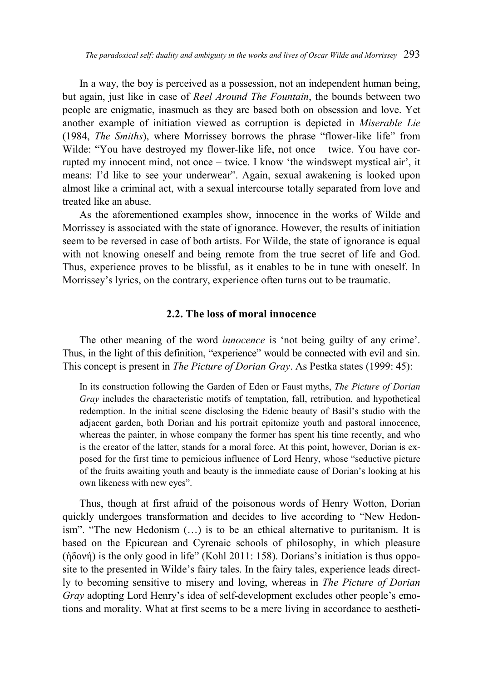In a way, the boy is perceived as a possession, not an independent human being, but again, just like in case of *Reel Around The Fountain*, the bounds between two people are enigmatic, inasmuch as they are based both on obsession and love. Yet another example of initiation viewed as corruption is depicted in *Miserable Lie* (1984, *The Smiths*), where Morrissey borrows the phrase "flower-like life" from Wilde: "You have destroyed my flower-like life, not once – twice. You have corrupted my innocent mind, not once – twice. I know 'the windswept mystical air', it means: I'd like to see your underwear". Again, sexual awakening is looked upon almost like a criminal act, with a sexual intercourse totally separated from love and treated like an abuse.

As the aforementioned examples show, innocence in the works of Wilde and Morrissey is associated with the state of ignorance. However, the results of initiation seem to be reversed in case of both artists. For Wilde, the state of ignorance is equal with not knowing oneself and being remote from the true secret of life and God. Thus, experience proves to be blissful, as it enables to be in tune with oneself. In Morrissey's lyrics, on the contrary, experience often turns out to be traumatic.

### **2.2. The loss of moral innocence**

The other meaning of the word *innocence* is 'not being guilty of any crime'. Thus, in the light of this definition, "experience" would be connected with evil and sin. This concept is present in *The Picture of Dorian Gray*. As Pestka states (1999: 45):

In its construction following the Garden of Eden or Faust myths, *The Picture of Dorian Gray* includes the characteristic motifs of temptation, fall, retribution, and hypothetical redemption. In the initial scene disclosing the Edenic beauty of Basil's studio with the adjacent garden, both Dorian and his portrait epitomize youth and pastoral innocence, whereas the painter, in whose company the former has spent his time recently, and who is the creator of the latter, stands for a moral force. At this point, however, Dorian is exposed for the first time to pernicious influence of Lord Henry, whose "seductive picture of the fruits awaiting youth and beauty is the immediate cause of Dorian's looking at his own likeness with new eyes".

Thus, though at first afraid of the poisonous words of Henry Wotton, Dorian quickly undergoes transformation and decides to live according to "New Hedonism". "The new Hedonism (…) is to be an ethical alternative to puritanism. It is based on the Epicurean and Cyrenaic schools of philosophy, in which pleasure (ἡδονή) is the only good in life" (Kohl 2011: 158). Dorians's initiation is thus opposite to the presented in Wilde's fairy tales. In the fairy tales, experience leads directly to becoming sensitive to misery and loving, whereas in *The Picture of Dorian Gray* adopting Lord Henry's idea of self-development excludes other people's emotions and morality. What at first seems to be a mere living in accordance to aestheti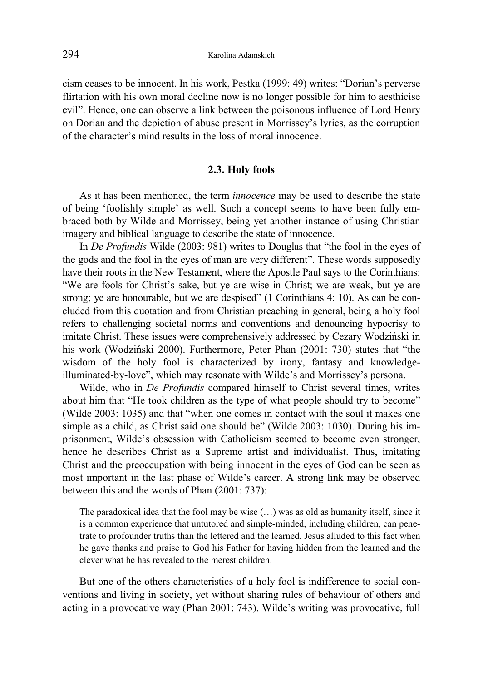cism ceases to be innocent. In his work, Pestka (1999: 49) writes: "Dorian's perverse flirtation with his own moral decline now is no longer possible for him to aesthicise evil". Hence, one can observe a link between the poisonous influence of Lord Henry on Dorian and the depiction of abuse present in Morrissey's lyrics, as the corruption of the character's mind results in the loss of moral innocence.

### **2.3. Holy fools**

As it has been mentioned, the term *innocence* may be used to describe the state of being 'foolishly simple' as well. Such a concept seems to have been fully embraced both by Wilde and Morrissey, being yet another instance of using Christian imagery and biblical language to describe the state of innocence.

In *De Profundis* Wilde (2003: 981) writes to Douglas that "the fool in the eyes of the gods and the fool in the eyes of man are very different". These words supposedly have their roots in the New Testament, where the Apostle Paul says to the Corinthians: "We are fools for Christ's sake, but ye are wise in Christ; we are weak, but ye are strong; ye are honourable, but we are despised" (1 Corinthians 4: 10). As can be concluded from this quotation and from Christian preaching in general, being a holy fool refers to challenging societal norms and conventions and denouncing hypocrisy to imitate Christ. These issues were comprehensively addressed by Cezary Wodziński in his work (Wodziński 2000). Furthermore, Peter Phan (2001: 730) states that "the wisdom of the holy fool is characterized by irony, fantasy and knowledgeilluminated-by-love", which may resonate with Wilde's and Morrissey's persona.

Wilde, who in *De Profundis* compared himself to Christ several times, writes about him that "He took children as the type of what people should try to become" (Wilde 2003: 1035) and that "when one comes in contact with the soul it makes one simple as a child, as Christ said one should be" (Wilde 2003: 1030). During his imprisonment, Wilde's obsession with Catholicism seemed to become even stronger, hence he describes Christ as a Supreme artist and individualist. Thus, imitating Christ and the preoccupation with being innocent in the eyes of God can be seen as most important in the last phase of Wilde's career. A strong link may be observed between this and the words of Phan (2001: 737):

The paradoxical idea that the fool may be wise (…) was as old as humanity itself, since it is a common experience that untutored and simple-minded, including children, can penetrate to profounder truths than the lettered and the learned. Jesus alluded to this fact when he gave thanks and praise to God his Father for having hidden from the learned and the clever what he has revealed to the merest children.

But one of the others characteristics of a holy fool is indifference to social conventions and living in society, yet without sharing rules of behaviour of others and acting in a provocative way (Phan 2001: 743). Wilde's writing was provocative, full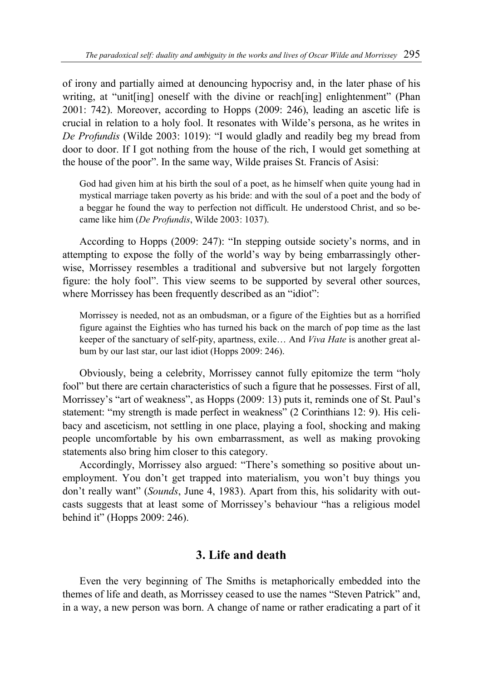of irony and partially aimed at denouncing hypocrisy and, in the later phase of his writing, at "unit [ing] oneself with the divine or reach [ing] enlightenment" (Phan 2001: 742). Moreover, according to Hopps (2009: 246), leading an ascetic life is crucial in relation to a holy fool. It resonates with Wilde's persona, as he writes in *De Profundis* (Wilde 2003: 1019): "I would gladly and readily beg my bread from door to door. If I got nothing from the house of the rich, I would get something at the house of the poor". In the same way, Wilde praises St. Francis of Asisi:

God had given him at his birth the soul of a poet, as he himself when quite young had in mystical marriage taken poverty as his bride: and with the soul of a poet and the body of a beggar he found the way to perfection not difficult. He understood Christ, and so became like him (*De Profundis*, Wilde 2003: 1037).

According to Hopps (2009: 247): "In stepping outside society's norms, and in attempting to expose the folly of the world's way by being embarrassingly otherwise, Morrissey resembles a traditional and subversive but not largely forgotten figure: the holy fool". This view seems to be supported by several other sources, where Morrissey has been frequently described as an "idiot":

Morrissey is needed, not as an ombudsman, or a figure of the Eighties but as a horrified figure against the Eighties who has turned his back on the march of pop time as the last keeper of the sanctuary of self-pity, apartness, exile… And *Viva Hate* is another great album by our last star, our last idiot (Hopps 2009: 246).

Obviously, being a celebrity, Morrissey cannot fully epitomize the term "holy fool" but there are certain characteristics of such a figure that he possesses. First of all, Morrissey's "art of weakness", as Hopps (2009: 13) puts it, reminds one of St. Paul's statement: "my strength is made perfect in weakness" (2 Corinthians 12: 9). His celibacy and asceticism, not settling in one place, playing a fool, shocking and making people uncomfortable by his own embarrassment, as well as making provoking statements also bring him closer to this category.

Accordingly, Morrissey also argued: "There's something so positive about unemployment. You don't get trapped into materialism, you won't buy things you don't really want" (*Sounds*, June 4, 1983). Apart from this, his solidarity with outcasts suggests that at least some of Morrissey's behaviour "has a religious model behind it" (Hopps 2009: 246).

# **3. Life and death**

Even the very beginning of The Smiths is metaphorically embedded into the themes of life and death, as Morrissey ceased to use the names "Steven Patrick" and, in a way, a new person was born. A change of name or rather eradicating a part of it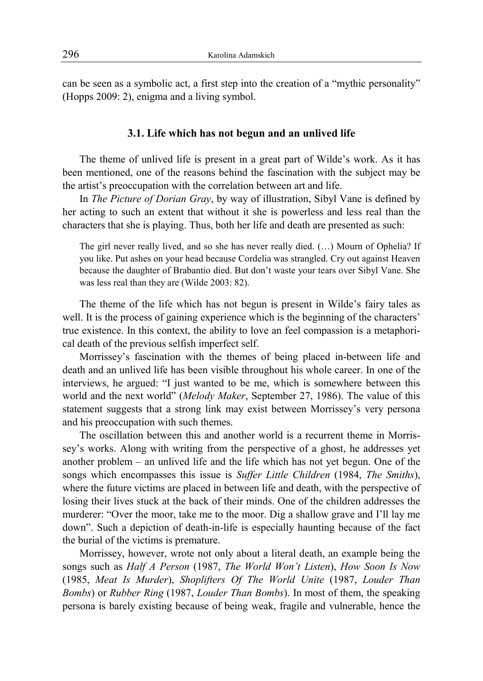can be seen as a symbolic act, a first step into the creation of a "mythic personality" (Hopps 2009: 2), enigma and a living symbol.

#### **3.1. Life which has not begun and an unlived life**

The theme of unlived life is present in a great part of Wilde's work. As it has been mentioned, one of the reasons behind the fascination with the subject may be the artist's preoccupation with the correlation between art and life.

In *The Picture of Dorian Gray*, by way of illustration, Sibyl Vane is defined by her acting to such an extent that without it she is powerless and less real than the characters that she is playing. Thus, both her life and death are presented as such:

The girl never really lived, and so she has never really died. (…) Mourn of Ophelia? If you like. Put ashes on your head because Cordelia was strangled. Cry out against Heaven because the daughter of Brabantio died. But don't waste your tears over Sibyl Vane. She was less real than they are (Wilde 2003: 82).

The theme of the life which has not begun is present in Wilde's fairy tales as well. It is the process of gaining experience which is the beginning of the characters' true existence. In this context, the ability to love an feel compassion is a metaphorical death of the previous selfish imperfect self.

Morrissey's fascination with the themes of being placed in-between life and death and an unlived life has been visible throughout his whole career. In one of the interviews, he argued: "I just wanted to be me, which is somewhere between this world and the next world" (*Melody Maker*, September 27, 1986). The value of this statement suggests that a strong link may exist between Morrissey's very persona and his preoccupation with such themes.

The oscillation between this and another world is a recurrent theme in Morrissey's works. Along with writing from the perspective of a ghost, he addresses yet another problem – an unlived life and the life which has not yet begun. One of the songs which encompasses this issue is *Suffer Little Children* (1984, *The Smiths*), where the future victims are placed in between life and death, with the perspective of losing their lives stuck at the back of their minds. One of the children addresses the murderer: "Over the moor, take me to the moor. Dig a shallow grave and I'll lay me down". Such a depiction of death-in-life is especially haunting because of the fact the burial of the victims is premature.

Morrissey, however, wrote not only about a literal death, an example being the songs such as *Half A Person* (1987, *The World Won't Listen*), *How Soon Is Now* (1985, *Meat Is Murder*), *Shoplifters Of The World Unite* (1987, *Louder Than Bombs*) or *Rubber Ring* (1987, *Louder Than Bombs*). In most of them, the speaking persona is barely existing because of being weak, fragile and vulnerable, hence the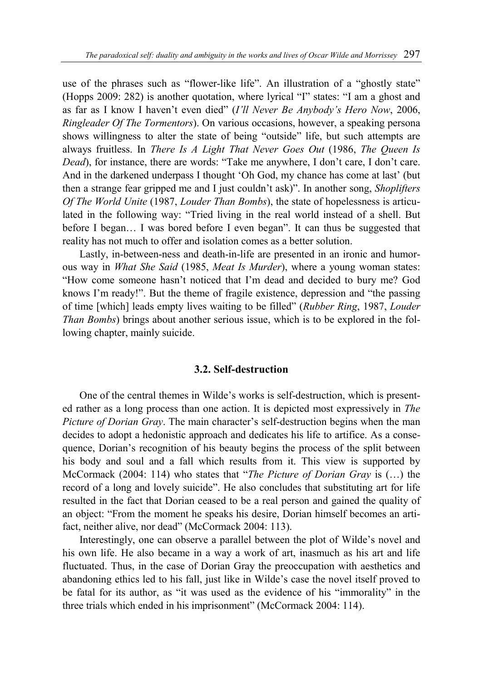use of the phrases such as "flower-like life". An illustration of a "ghostly state" (Hopps 2009: 282) is another quotation, where lyrical "I" states: "I am a ghost and as far as I know I haven't even died" (*I'll Never Be Anybody's Hero Now*, 2006, *Ringleader Of The Tormentors*). On various occasions, however, a speaking persona shows willingness to alter the state of being "outside" life, but such attempts are always fruitless. In *There Is A Light That Never Goes Out* (1986, *The Queen Is Dead*), for instance, there are words: "Take me anywhere, I don't care, I don't care. And in the darkened underpass I thought 'Oh God, my chance has come at last' (but then a strange fear gripped me and I just couldn't ask)". In another song, *Shoplifters Of The World Unite* (1987, *Louder Than Bombs*), the state of hopelessness is articulated in the following way: "Tried living in the real world instead of a shell. But before I began… I was bored before I even began". It can thus be suggested that reality has not much to offer and isolation comes as a better solution.

Lastly, in-between-ness and death-in-life are presented in an ironic and humorous way in *What She Said* (1985, *Meat Is Murder*), where a young woman states: "How come someone hasn't noticed that I'm dead and decided to bury me? God knows I'm ready!". But the theme of fragile existence, depression and "the passing of time [which] leads empty lives waiting to be filled" (*Rubber Ring*, 1987, *Louder Than Bombs*) brings about another serious issue, which is to be explored in the following chapter, mainly suicide.

### **3.2. Self-destruction**

One of the central themes in Wilde's works is self-destruction, which is presented rather as a long process than one action. It is depicted most expressively in *The Picture of Dorian Gray*. The main character's self-destruction begins when the man decides to adopt a hedonistic approach and dedicates his life to artifice. As a consequence, Dorian's recognition of his beauty begins the process of the split between his body and soul and a fall which results from it. This view is supported by McCormack (2004: 114) who states that "*The Picture of Dorian Gray* is (…) the record of a long and lovely suicide". He also concludes that substituting art for life resulted in the fact that Dorian ceased to be a real person and gained the quality of an object: "From the moment he speaks his desire, Dorian himself becomes an artifact, neither alive, nor dead" (McCormack 2004: 113).

Interestingly, one can observe a parallel between the plot of Wilde's novel and his own life. He also became in a way a work of art, inasmuch as his art and life fluctuated. Thus, in the case of Dorian Gray the preoccupation with aesthetics and abandoning ethics led to his fall, just like in Wilde's case the novel itself proved to be fatal for its author, as "it was used as the evidence of his "immorality" in the three trials which ended in his imprisonment" (McCormack 2004: 114).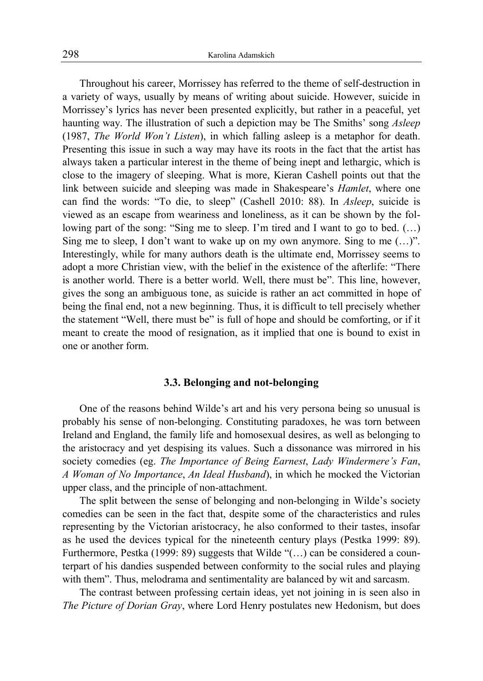Throughout his career, Morrissey has referred to the theme of self-destruction in a variety of ways, usually by means of writing about suicide. However, suicide in Morrissey's lyrics has never been presented explicitly, but rather in a peaceful, yet haunting way. The illustration of such a depiction may be The Smiths' song *Asleep* (1987, *The World Won't Listen*), in which falling asleep is a metaphor for death. Presenting this issue in such a way may have its roots in the fact that the artist has always taken a particular interest in the theme of being inept and lethargic, which is close to the imagery of sleeping. What is more, Kieran Cashell points out that the link between suicide and sleeping was made in Shakespeare's *Hamlet*, where one can find the words: "To die, to sleep" (Cashell 2010: 88). In *Asleep*, suicide is viewed as an escape from weariness and loneliness, as it can be shown by the following part of the song: "Sing me to sleep. I'm tired and I want to go to bed. (…) Sing me to sleep, I don't want to wake up on my own anymore. Sing to me  $(...)$ ". Interestingly, while for many authors death is the ultimate end, Morrissey seems to adopt a more Christian view, with the belief in the existence of the afterlife: "There is another world. There is a better world. Well, there must be". This line, however, gives the song an ambiguous tone, as suicide is rather an act committed in hope of being the final end, not a new beginning. Thus, it is difficult to tell precisely whether the statement "Well, there must be" is full of hope and should be comforting, or if it meant to create the mood of resignation, as it implied that one is bound to exist in one or another form.

#### **3.3. Belonging and not-belonging**

One of the reasons behind Wilde's art and his very persona being so unusual is probably his sense of non-belonging. Constituting paradoxes, he was torn between Ireland and England, the family life and homosexual desires, as well as belonging to the aristocracy and yet despising its values. Such a dissonance was mirrored in his society comedies (eg. *The Importance of Being Earnest*, *Lady Windermere's Fan*, *A Woman of No Importance*, *An Ideal Husband*), in which he mocked the Victorian upper class, and the principle of non-attachment.

The split between the sense of belonging and non-belonging in Wilde's society comedies can be seen in the fact that, despite some of the characteristics and rules representing by the Victorian aristocracy, he also conformed to their tastes, insofar as he used the devices typical for the nineteenth century plays (Pestka 1999: 89). Furthermore, Pestka (1999: 89) suggests that Wilde "(...) can be considered a counterpart of his dandies suspended between conformity to the social rules and playing with them". Thus, melodrama and sentimentality are balanced by wit and sarcasm.

The contrast between professing certain ideas, yet not joining in is seen also in *The Picture of Dorian Gray*, where Lord Henry postulates new Hedonism, but does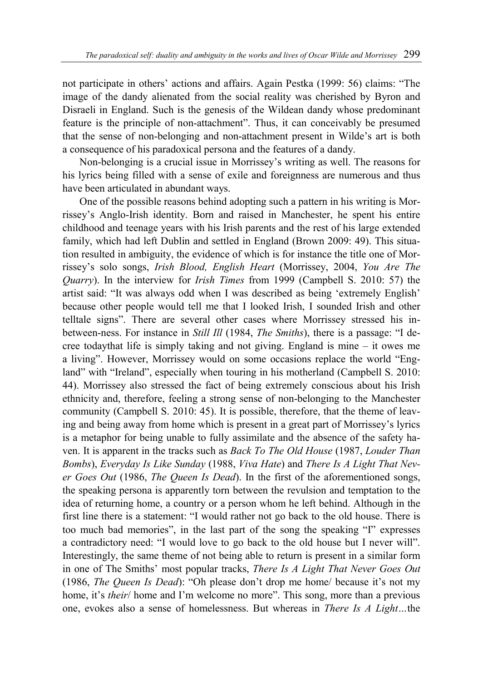not participate in others' actions and affairs. Again Pestka (1999: 56) claims: "The image of the dandy alienated from the social reality was cherished by Byron and Disraeli in England. Such is the genesis of the Wildean dandy whose predominant feature is the principle of non-attachment". Thus, it can conceivably be presumed that the sense of non-belonging and non-attachment present in Wilde's art is both a consequence of his paradoxical persona and the features of a dandy.

Non-belonging is a crucial issue in Morrissey's writing as well. The reasons for his lyrics being filled with a sense of exile and foreignness are numerous and thus have been articulated in abundant ways.

One of the possible reasons behind adopting such a pattern in his writing is Morrissey's Anglo-Irish identity. Born and raised in Manchester, he spent his entire childhood and teenage years with his Irish parents and the rest of his large extended family, which had left Dublin and settled in England (Brown 2009: 49). This situation resulted in ambiguity, the evidence of which is for instance the title one of Morrissey's solo songs, *Irish Blood, English Heart* (Morrissey, 2004, *You Are The Quarry*). In the interview for *Irish Times* from 1999 (Campbell S. 2010: 57) the artist said: "It was always odd when I was described as being 'extremely English' because other people would tell me that I looked Irish, I sounded Irish and other telltale signs". There are several other cases where Morrissey stressed his inbetween-ness. For instance in *Still Ill* (1984, *The Smiths*), there is a passage: "I decree todaythat life is simply taking and not giving. England is mine – it owes me a living". However, Morrissey would on some occasions replace the world "England" with "Ireland", especially when touring in his motherland (Campbell S. 2010: 44). Morrissey also stressed the fact of being extremely conscious about his Irish ethnicity and, therefore, feeling a strong sense of non-belonging to the Manchester community (Campbell S. 2010: 45). It is possible, therefore, that the theme of leaving and being away from home which is present in a great part of Morrissey's lyrics is a metaphor for being unable to fully assimilate and the absence of the safety haven. It is apparent in the tracks such as *Back To The Old House* (1987, *Louder Than Bombs*), *Everyday Is Like Sunday* (1988, *Viva Hate*) and *There Is A Light That Never Goes Out* (1986, *The Queen Is Dead*). In the first of the aforementioned songs, the speaking persona is apparently torn between the revulsion and temptation to the idea of returning home, a country or a person whom he left behind. Although in the first line there is a statement: "I would rather not go back to the old house. There is too much bad memories", in the last part of the song the speaking "I" expresses a contradictory need: "I would love to go back to the old house but I never will". Interestingly, the same theme of not being able to return is present in a similar form in one of The Smiths' most popular tracks, *There Is A Light That Never Goes Out* (1986, *The Queen Is Dead*): "Oh please don't drop me home/ because it's not my home, it's *their*/ home and I'm welcome no more". This song, more than a previous one, evokes also a sense of homelessness. But whereas in *There Is A Light…*the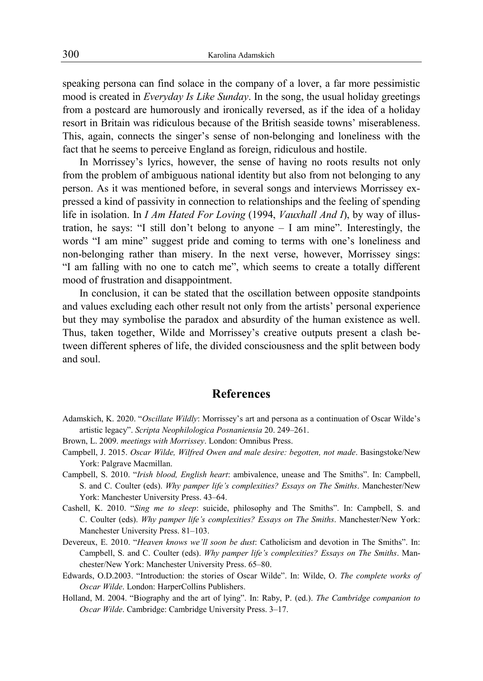speaking persona can find solace in the company of a lover, a far more pessimistic mood is created in *Everyday Is Like Sunday*. In the song, the usual holiday greetings from a postcard are humorously and ironically reversed, as if the idea of a holiday resort in Britain was ridiculous because of the British seaside towns' miserableness. This, again, connects the singer's sense of non-belonging and loneliness with the fact that he seems to perceive England as foreign, ridiculous and hostile.

In Morrissey's lyrics, however, the sense of having no roots results not only from the problem of ambiguous national identity but also from not belonging to any person. As it was mentioned before, in several songs and interviews Morrissey expressed a kind of passivity in connection to relationships and the feeling of spending life in isolation. In *I Am Hated For Loving* (1994, *Vauxhall And I*), by way of illustration, he says: "I still don't belong to anyone – I am mine". Interestingly, the words "I am mine" suggest pride and coming to terms with one's loneliness and non-belonging rather than misery. In the next verse, however, Morrissey sings: "I am falling with no one to catch me", which seems to create a totally different mood of frustration and disappointment.

In conclusion, it can be stated that the oscillation between opposite standpoints and values excluding each other result not only from the artists' personal experience but they may symbolise the paradox and absurdity of the human existence as well. Thus, taken together, Wilde and Morrissey's creative outputs present a clash between different spheres of life, the divided consciousness and the split between body and soul.

## **References**

- Adamskich, K. 2020. "*Oscillate Wildly*: Morrissey's art and persona as a continuation of Oscar Wilde's artistic legacy". *Scripta Neophilologica Posnaniensia* 20. 249–261.
- Brown, L. 2009. *meetings with Morrissey*. London: Omnibus Press.
- Campbell, J. 2015. *Oscar Wilde, Wilfred Owen and male desire: begotten, not made*. Basingstoke/New York: Palgrave Macmillan.
- Campbell, S. 2010. "*Irish blood, English heart*: ambivalence, unease and The Smiths". In: Campbell, S. and C. Coulter (eds). *Why pamper life's complexities? Essays on The Smiths*. Manchester/New York: Manchester University Press. 43–64.
- Cashell, K. 2010. "*Sing me to sleep*: suicide, philosophy and The Smiths". In: Campbell, S. and C. Coulter (eds). *Why pamper life's complexities? Essays on The Smiths*. Manchester/New York: Manchester University Press. 81–103.
- Devereux, E. 2010. "*Heaven knows we'll soon be dust*: Catholicism and devotion in The Smiths". In: Campbell, S. and C. Coulter (eds). *Why pamper life's complexities? Essays on The Smiths*. Manchester/New York: Manchester University Press. 65–80.
- Edwards, O.D.2003. "Introduction: the stories of Oscar Wilde". In: Wilde, O. *The complete works of Oscar Wilde*. London: HarperCollins Publishers.
- Holland, M. 2004. "Biography and the art of lying". In: Raby, P. (ed.). *The Cambridge companion to Oscar Wilde*. Cambridge: Cambridge University Press. 3–17.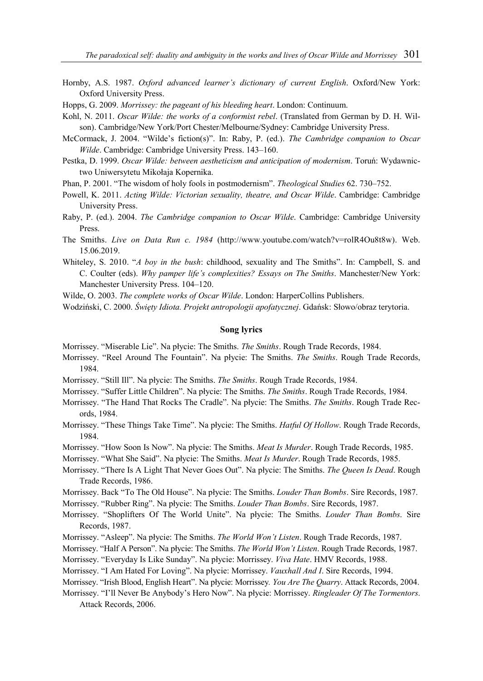- Hornby, A.S. 1987. *Oxford advanced learner's dictionary of current English*. Oxford/New York: Oxford University Press.
- Hopps, G. 2009. *Morrissey: the pageant of his bleeding heart*. London: Continuum.
- Kohl, N. 2011. *Oscar Wilde: the works of a conformist rebel*. (Translated from German by D. H. Wilson). Cambridge/New York/Port Chester/Melbourne/Sydney: Cambridge University Press.
- McCormack, J. 2004. "Wilde's fiction(s)". In: Raby, P. (ed.). *The Cambridge companion to Oscar Wilde*. Cambridge: Cambridge University Press. 143–160.
- Pestka, D. 1999. *Oscar Wilde: between aestheticism and anticipation of modernism*. Toruń: Wydawnictwo Uniwersytetu Mikołaja Kopernika.
- Phan, P. 2001. "The wisdom of holy fools in postmodernism". *Theological Studies* 62. 730–752.
- Powell, K. 2011. *Acting Wilde: Victorian sexuality, theatre, and Oscar Wilde*. Cambridge: Cambridge University Press.
- Raby, P. (ed.). 2004. *The Cambridge companion to Oscar Wilde*. Cambridge: Cambridge University Press.
- The Smiths. *Live on Data Run c. 1984* (http://www.youtube.com/watch?v=rolR4Ou8t8w). Web. 15.06.2019.
- Whiteley, S. 2010. "*A boy in the bush*: childhood, sexuality and The Smiths". In: Campbell, S. and C. Coulter (eds). *Why pamper life's complexities? Essays on The Smiths*. Manchester/New York: Manchester University Press. 104–120.
- Wilde, O. 2003. *The complete works of Oscar Wilde*. London: HarperCollins Publishers.
- Wodziński, C. 2000. *Święty Idiota. Projekt antropologii apofatycznej*. Gdańsk: Słowo/obraz terytoria.

#### **Song lyrics**

- Morrissey. "Miserable Lie". Na płycie: The Smiths. *The Smiths*. Rough Trade Records, 1984.
- Morrissey. "Reel Around The Fountain". Na płycie: The Smiths. *The Smiths*. Rough Trade Records, 1984.
- Morrissey. "Still Ill". Na płycie: The Smiths. *The Smiths*. Rough Trade Records, 1984.
- Morrissey. "Suffer Little Children". Na płycie: The Smiths. *The Smiths*. Rough Trade Records, 1984.
- Morrissey. "The Hand That Rocks The Cradle". Na płycie: The Smiths. *The Smiths*. Rough Trade Records, 1984.
- Morrissey. "These Things Take Time". Na płycie: The Smiths. *Hatful Of Hollow*. Rough Trade Records, 1984.
- Morrissey. "How Soon Is Now". Na płycie: The Smiths. *Meat Is Murder*. Rough Trade Records, 1985.
- Morrissey. "What She Said". Na płycie: The Smiths. *Meat Is Murder*. Rough Trade Records, 1985.
- Morrissey. "There Is A Light That Never Goes Out". Na płycie: The Smiths. *The Queen Is Dead*. Rough Trade Records, 1986.
- Morrissey. Back "To The Old House". Na płycie: The Smiths. *Louder Than Bombs*. Sire Records, 1987.
- Morrissey. "Rubber Ring". Na płycie: The Smiths. *Louder Than Bombs*. Sire Records, 1987.
- Morrissey. "Shoplifters Of The World Unite". Na płycie: The Smiths. *Louder Than Bombs*. Sire Records, 1987.
- Morrissey. "Asleep". Na płycie: The Smiths. *The World Won't Listen*. Rough Trade Records, 1987.
- Morrissey. "Half A Person". Na płycie: The Smiths. *The World Won't Listen*. Rough Trade Records, 1987.
- Morrissey. "Everyday Is Like Sunday". Na płycie: Morrissey. *Viva Hate*. HMV Records, 1988.
- Morrissey. "I Am Hated For Loving". Na płycie: Morrissey. *Vauxhall And I*. Sire Records, 1994.
- Morrissey. "Irish Blood, English Heart". Na płycie: Morrissey*. You Are The Quarry*. Attack Records, 2004.
- Morrissey. "I'll Never Be Anybody's Hero Now". Na płycie: Morrissey. *Ringleader Of The Tormentors*. Attack Records, 2006.